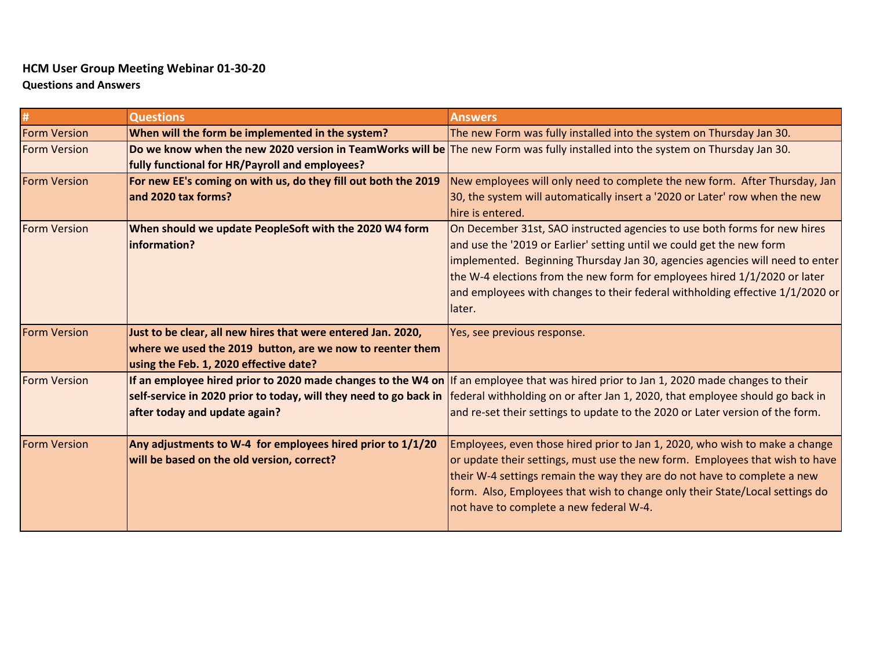## **HCM User Group Meeting Webinar 01-30-20**

**Questions and Answers**

|                     | <b>Questions</b>                                               | <b>Answers</b>                                                                                                                                  |
|---------------------|----------------------------------------------------------------|-------------------------------------------------------------------------------------------------------------------------------------------------|
| <b>Form Version</b> | When will the form be implemented in the system?               | The new Form was fully installed into the system on Thursday Jan 30.                                                                            |
| <b>Form Version</b> |                                                                | Do we know when the new 2020 version in TeamWorks will be The new Form was fully installed into the system on Thursday Jan 30.                  |
|                     | fully functional for HR/Payroll and employees?                 |                                                                                                                                                 |
| <b>Form Version</b> | For new EE's coming on with us, do they fill out both the 2019 | New employees will only need to complete the new form. After Thursday, Jan                                                                      |
|                     | and 2020 tax forms?                                            | 30, the system will automatically insert a '2020 or Later' row when the new                                                                     |
|                     |                                                                | hire is entered.                                                                                                                                |
| <b>Form Version</b> | When should we update PeopleSoft with the 2020 W4 form         | On December 31st, SAO instructed agencies to use both forms for new hires                                                                       |
|                     | information?                                                   | and use the '2019 or Earlier' setting until we could get the new form                                                                           |
|                     |                                                                | implemented. Beginning Thursday Jan 30, agencies agencies will need to enter                                                                    |
|                     |                                                                | the W-4 elections from the new form for employees hired 1/1/2020 or later                                                                       |
|                     |                                                                | and employees with changes to their federal withholding effective 1/1/2020 or                                                                   |
|                     |                                                                | llater.                                                                                                                                         |
| <b>Form Version</b> | Just to be clear, all new hires that were entered Jan. 2020,   | Yes, see previous response.                                                                                                                     |
|                     | where we used the 2019 button, are we now to reenter them      |                                                                                                                                                 |
|                     | using the Feb. 1, 2020 effective date?                         |                                                                                                                                                 |
| <b>Form Version</b> |                                                                | If an employee hired prior to 2020 made changes to the W4 on If an employee that was hired prior to Jan 1, 2020 made changes to their           |
|                     |                                                                | self-service in 2020 prior to today, will they need to go back in  federal withholding on or after Jan 1, 2020, that employee should go back in |
|                     |                                                                |                                                                                                                                                 |
|                     | after today and update again?                                  | and re-set their settings to update to the 2020 or Later version of the form.                                                                   |
| <b>Form Version</b> | Any adjustments to W-4 for employees hired prior to 1/1/20     | Employees, even those hired prior to Jan 1, 2020, who wish to make a change                                                                     |
|                     | will be based on the old version, correct?                     | or update their settings, must use the new form. Employees that wish to have                                                                    |
|                     |                                                                | their W-4 settings remain the way they are do not have to complete a new                                                                        |
|                     |                                                                | form. Also, Employees that wish to change only their State/Local settings do                                                                    |
|                     |                                                                | not have to complete a new federal W-4.                                                                                                         |
|                     |                                                                |                                                                                                                                                 |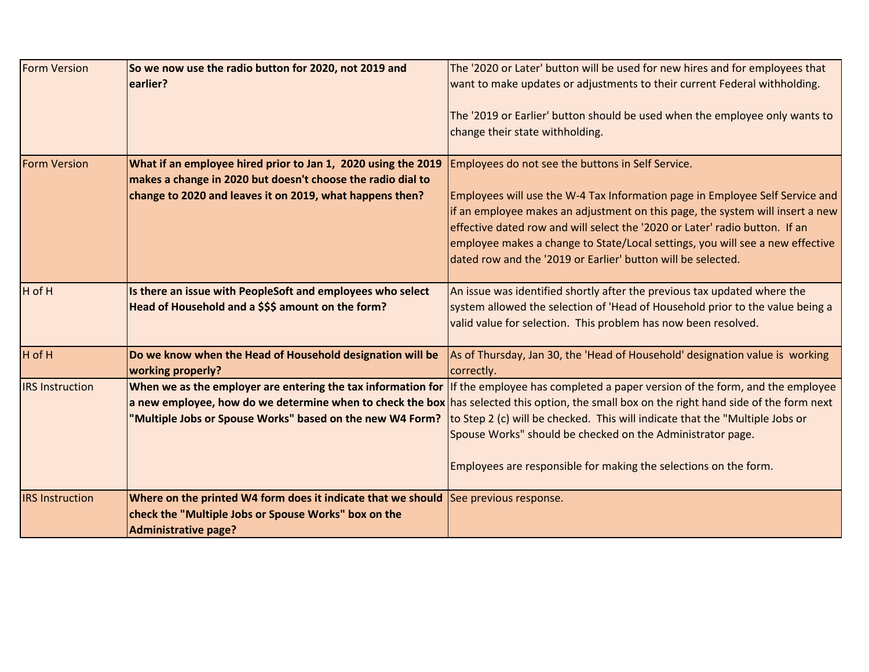| <b>Form Version</b>    | So we now use the radio button for 2020, not 2019 and<br>earlier?                                                                                                          | The '2020 or Later' button will be used for new hires and for employees that<br>want to make updates or adjustments to their current Federal withholding.                                                                                                                                                                                                                                                                                  |
|------------------------|----------------------------------------------------------------------------------------------------------------------------------------------------------------------------|--------------------------------------------------------------------------------------------------------------------------------------------------------------------------------------------------------------------------------------------------------------------------------------------------------------------------------------------------------------------------------------------------------------------------------------------|
|                        |                                                                                                                                                                            | The '2019 or Earlier' button should be used when the employee only wants to<br>change their state withholding.                                                                                                                                                                                                                                                                                                                             |
| <b>Form Version</b>    | What if an employee hired prior to Jan 1, 2020 using the 2019<br>makes a change in 2020 but doesn't choose the radio dial to                                               | Employees do not see the buttons in Self Service.                                                                                                                                                                                                                                                                                                                                                                                          |
|                        | change to 2020 and leaves it on 2019, what happens then?                                                                                                                   | Employees will use the W-4 Tax Information page in Employee Self Service and<br>if an employee makes an adjustment on this page, the system will insert a new<br>effective dated row and will select the '2020 or Later' radio button. If an<br>employee makes a change to State/Local settings, you will see a new effective<br>dated row and the '2019 or Earlier' button will be selected.                                              |
| H of H                 | Is there an issue with PeopleSoft and employees who select<br>Head of Household and a \$\$\$ amount on the form?                                                           | An issue was identified shortly after the previous tax updated where the<br>system allowed the selection of 'Head of Household prior to the value being a<br>valid value for selection. This problem has now been resolved.                                                                                                                                                                                                                |
| H of H                 | Do we know when the Head of Household designation will be<br>working properly?                                                                                             | As of Thursday, Jan 30, the 'Head of Household' designation value is working<br>correctly.                                                                                                                                                                                                                                                                                                                                                 |
| <b>IRS Instruction</b> | When we as the employer are entering the tax information for<br>"Multiple Jobs or Spouse Works" based on the new W4 Form?                                                  | If the employee has completed a paper version of the form, and the employee<br>a new employee, how do we determine when to check the box has selected this option, the small box on the right hand side of the form next<br>to Step 2 (c) will be checked. This will indicate that the "Multiple Jobs or<br>Spouse Works" should be checked on the Administrator page.<br>Employees are responsible for making the selections on the form. |
| <b>IRS Instruction</b> | Where on the printed W4 form does it indicate that we should See previous response.<br>check the "Multiple Jobs or Spouse Works" box on the<br><b>Administrative page?</b> |                                                                                                                                                                                                                                                                                                                                                                                                                                            |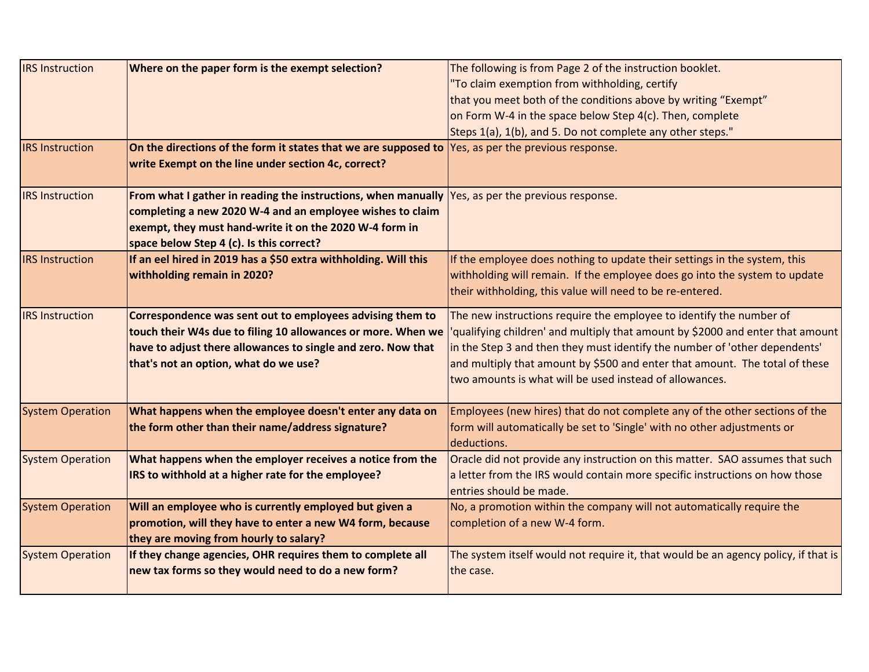| <b>IRS</b> Instruction  | Where on the paper form is the exempt selection?                                                            | The following is from Page 2 of the instruction booklet.                               |
|-------------------------|-------------------------------------------------------------------------------------------------------------|----------------------------------------------------------------------------------------|
|                         |                                                                                                             | "To claim exemption from withholding, certify                                          |
|                         |                                                                                                             | that you meet both of the conditions above by writing "Exempt"                         |
|                         |                                                                                                             | on Form W-4 in the space below Step 4(c). Then, complete                               |
|                         |                                                                                                             | Steps 1(a), 1(b), and 5. Do not complete any other steps."                             |
| <b>IRS Instruction</b>  | On the directions of the form it states that we are supposed to                                             | Yes, as per the previous response.                                                     |
|                         | write Exempt on the line under section 4c, correct?                                                         |                                                                                        |
|                         |                                                                                                             |                                                                                        |
| <b>IRS</b> Instruction  | From what I gather in reading the instructions, when manually $\sqrt{ }$ Yes, as per the previous response. |                                                                                        |
|                         | completing a new 2020 W-4 and an employee wishes to claim                                                   |                                                                                        |
|                         | exempt, they must hand-write it on the 2020 W-4 form in                                                     |                                                                                        |
|                         | space below Step 4 (c). Is this correct?                                                                    |                                                                                        |
| <b>IRS Instruction</b>  | If an eel hired in 2019 has a \$50 extra withholding. Will this                                             | If the employee does nothing to update their settings in the system, this              |
|                         | withholding remain in 2020?                                                                                 | withholding will remain. If the employee does go into the system to update             |
|                         |                                                                                                             | their withholding, this value will need to be re-entered.                              |
| <b>IRS</b> Instruction  | Correspondence was sent out to employees advising them to                                                   | The new instructions require the employee to identify the number of                    |
|                         | touch their W4s due to filing 10 allowances or more. When we                                                | 'qualifying children' and multiply that amount by \$2000 and enter that amount         |
|                         | have to adjust there allowances to single and zero. Now that                                                | in the Step 3 and then they must identify the number of 'other dependents'             |
|                         | that's not an option, what do we use?                                                                       | and multiply that amount by \$500 and enter that amount. The total of these            |
|                         |                                                                                                             | two amounts is what will be used instead of allowances.                                |
|                         |                                                                                                             |                                                                                        |
| <b>System Operation</b> | What happens when the employee doesn't enter any data on                                                    | Employees (new hires) that do not complete any of the other sections of the            |
|                         | the form other than their name/address signature?                                                           | form will automatically be set to 'Single' with no other adjustments or<br>deductions. |
| <b>System Operation</b> | What happens when the employer receives a notice from the                                                   | Oracle did not provide any instruction on this matter. SAO assumes that such           |
|                         | IRS to withhold at a higher rate for the employee?                                                          | a letter from the IRS would contain more specific instructions on how those            |
|                         |                                                                                                             | entries should be made.                                                                |
| <b>System Operation</b> | Will an employee who is currently employed but given a                                                      | No, a promotion within the company will not automatically require the                  |
|                         | promotion, will they have to enter a new W4 form, because                                                   | completion of a new W-4 form.                                                          |
|                         | they are moving from hourly to salary?                                                                      |                                                                                        |
| <b>System Operation</b> | If they change agencies, OHR requires them to complete all                                                  | The system itself would not require it, that would be an agency policy, if that is     |
|                         | new tax forms so they would need to do a new form?                                                          | the case.                                                                              |